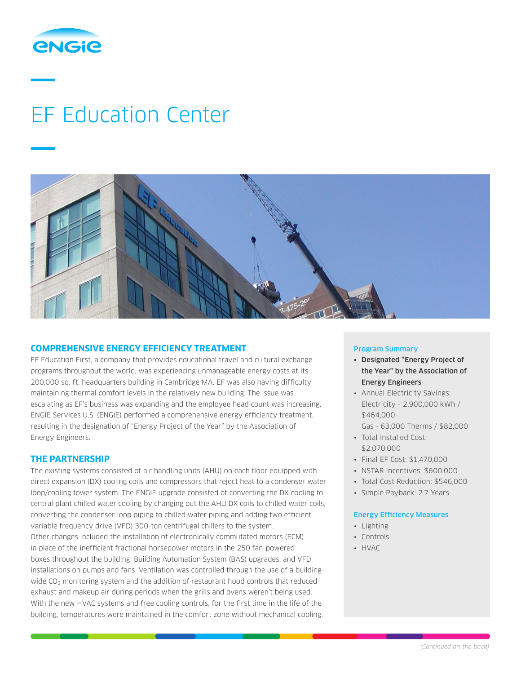

# EF Education Center



### **COMPREHENSIVE ENERGY EFFICIENCY TREATMENT**

EF Education First, a company that provides educational travel and cultural exchange programs throughout the world, was experiencing unmanageable energy costs at its 200,000 sq. ft. headquarters building in Cambridge MA. EF was also having difficulty maintaining thermal comfort levels in the relatively new building. The issue was escalating as EF's business was expanding and the employee head count was increasing. ENGIE Services U.S. (ENGIE) performed a comprehensive energy efficiency treatment, resulting in the designation of "Energy Project of the Year" by the Association of Energy Engineers.

### **THE PARTNERSHIP**

The existing systems consisted of air handling units (AHU) on each floor equipped with direct expansion (DX) cooling coils and compressors that reject heat to a condenser water loop/cooling tower system. The ENGIE upgrade consisted of converting the DX cooling to central plant chilled water cooling by changing out the AHU DX coils to chilled water coils, converting the condenser loop piping to chilled water piping and adding two efficient variable frequency drive (VFD) 300-ton centrifugal chillers to the system. Other changes included the installation of electronically commutated motors (ECM) in place of the inefficient fractional horsepower motors in the 250 fan-powered boxes throughout the building, Building Automation System (BAS) upgrades, and VFD installations on pumps and fans. Ventilation was controlled through the use of a buildingwide CO<sub>2</sub> monitoring system and the addition of restaurant hood controls that reduced exhaust and makeup air during periods when the grills and ovens weren't being used. With the new HVAC systems and free cooling controls, for the first time in the life of the building, temperatures were maintained in the comfort zone without mechanical cooling.

### Program Summary

- Designated "Energy Project of the Year" by the Association of Energy Engineers
- Annual Electricity Savings: Electricity - 2,900,000 kWh / \$464,000
	- Gas 63,000 Therms / \$82,000
- Total Installed Cost: \$2,070,000
- Final EF Cost: \$1,470,000
- NSTAR Incentives: \$600,000
- Total Cost Reduction: \$546,000
- Simple Payback: 2.7 Years

### Energy Efficiency Measures

- Lighting
- Controls
- HVAC